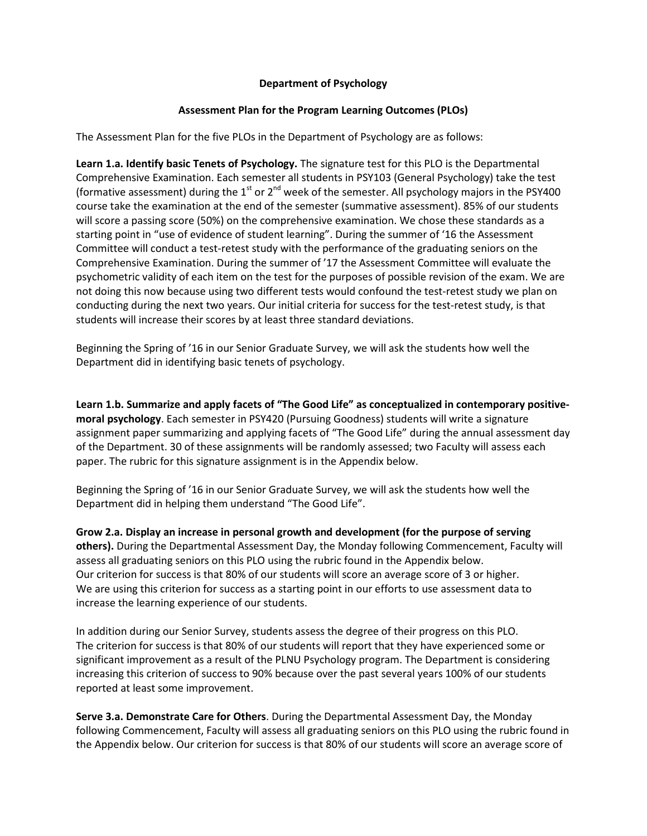## **Department of Psychology**

## **Assessment Plan for the Program Learning Outcomes (PLOs)**

The Assessment Plan for the five PLOs in the Department of Psychology are as follows:

**Learn 1.a. Identify basic Tenets of Psychology.** The signature test for this PLO is the Departmental Comprehensive Examination. Each semester all students in PSY103 (General Psychology) take the test (formative assessment) during the  $1<sup>st</sup>$  or  $2<sup>nd</sup>$  week of the semester. All psychology majors in the PSY400 course take the examination at the end of the semester (summative assessment). 85% of our students will score a passing score (50%) on the comprehensive examination. We chose these standards as a starting point in "use of evidence of student learning". During the summer of '16 the Assessment Committee will conduct a test-retest study with the performance of the graduating seniors on the Comprehensive Examination. During the summer of '17 the Assessment Committee will evaluate the psychometric validity of each item on the test for the purposes of possible revision of the exam. We are not doing this now because using two different tests would confound the test-retest study we plan on conducting during the next two years. Our initial criteria for success for the test-retest study, is that students will increase their scores by at least three standard deviations.

Beginning the Spring of '16 in our Senior Graduate Survey, we will ask the students how well the Department did in identifying basic tenets of psychology.

**Learn 1.b. Summarize and apply facets of "The Good Life" as conceptualized in contemporary positivemoral psychology**. Each semester in PSY420 (Pursuing Goodness) students will write a signature assignment paper summarizing and applying facets of "The Good Life" during the annual assessment day of the Department. 30 of these assignments will be randomly assessed; two Faculty will assess each paper. The rubric for this signature assignment is in the Appendix below.

Beginning the Spring of '16 in our Senior Graduate Survey, we will ask the students how well the Department did in helping them understand "The Good Life".

**Grow 2.a. Display an increase in personal growth and development (for the purpose of serving others).** During the Departmental Assessment Day, the Monday following Commencement, Faculty will assess all graduating seniors on this PLO using the rubric found in the Appendix below. Our criterion for success is that 80% of our students will score an average score of 3 or higher. We are using this criterion for success as a starting point in our efforts to use assessment data to increase the learning experience of our students.

In addition during our Senior Survey, students assess the degree of their progress on this PLO. The criterion for success is that 80% of our students will report that they have experienced some or significant improvement as a result of the PLNU Psychology program. The Department is considering increasing this criterion of success to 90% because over the past several years 100% of our students reported at least some improvement.

**Serve 3.a. Demonstrate Care for Others**. During the Departmental Assessment Day, the Monday following Commencement, Faculty will assess all graduating seniors on this PLO using the rubric found in the Appendix below. Our criterion for success is that 80% of our students will score an average score of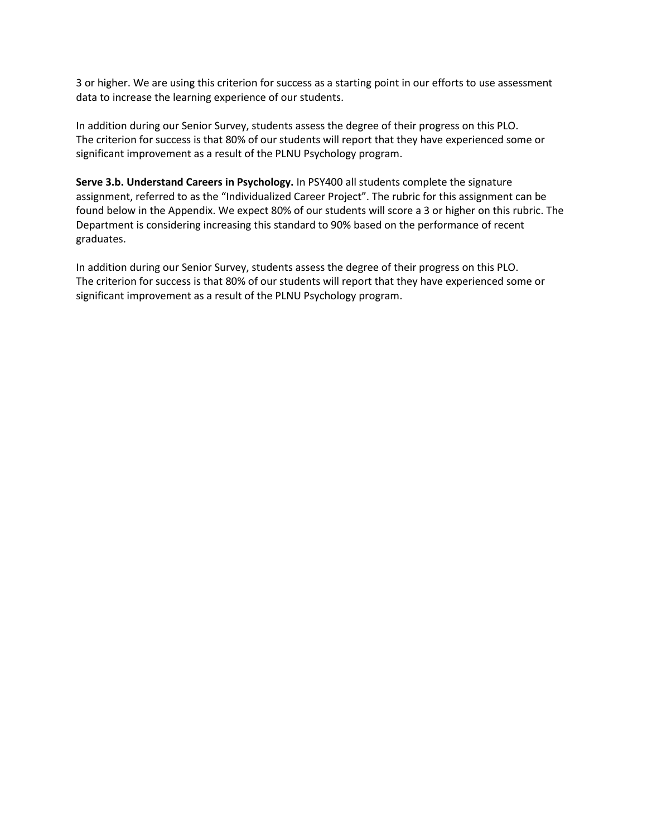3 or higher. We are using this criterion for success as a starting point in our efforts to use assessment data to increase the learning experience of our students.

In addition during our Senior Survey, students assess the degree of their progress on this PLO. The criterion for success is that 80% of our students will report that they have experienced some or significant improvement as a result of the PLNU Psychology program.

**Serve 3.b. Understand Careers in Psychology.** In PSY400 all students complete the signature assignment, referred to as the "Individualized Career Project". The rubric for this assignment can be found below in the Appendix. We expect 80% of our students will score a 3 or higher on this rubric. The Department is considering increasing this standard to 90% based on the performance of recent graduates.

In addition during our Senior Survey, students assess the degree of their progress on this PLO. The criterion for success is that 80% of our students will report that they have experienced some or significant improvement as a result of the PLNU Psychology program.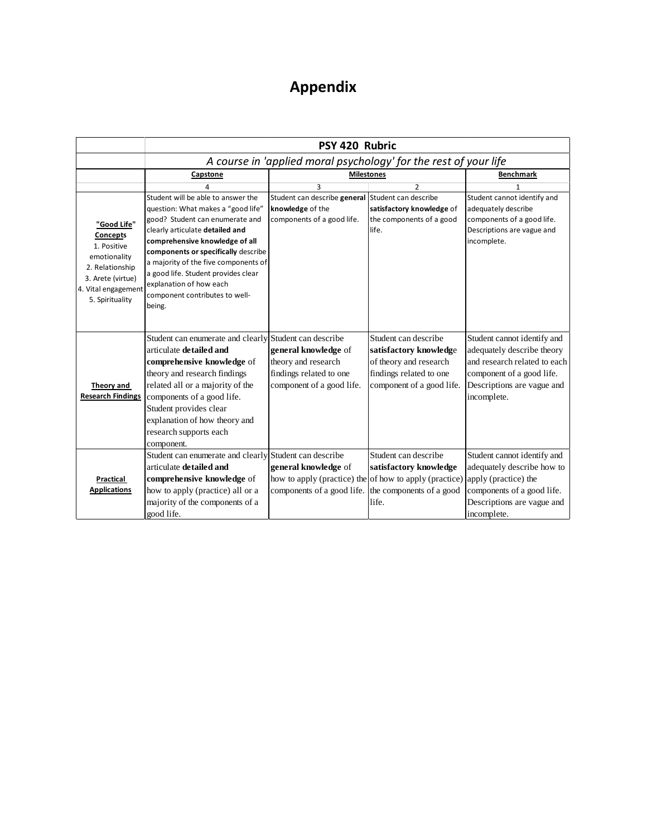## **Appendix**

|                                                                                                                                          | PSY 420 Rubric                                                                                                                                                                                                                                                                                                                                                                |                                                                                                                             |                                                                                                                                  |                                                                                                                                                                     |
|------------------------------------------------------------------------------------------------------------------------------------------|-------------------------------------------------------------------------------------------------------------------------------------------------------------------------------------------------------------------------------------------------------------------------------------------------------------------------------------------------------------------------------|-----------------------------------------------------------------------------------------------------------------------------|----------------------------------------------------------------------------------------------------------------------------------|---------------------------------------------------------------------------------------------------------------------------------------------------------------------|
|                                                                                                                                          | A course in 'applied moral psychology' for the rest of your life                                                                                                                                                                                                                                                                                                              |                                                                                                                             |                                                                                                                                  |                                                                                                                                                                     |
|                                                                                                                                          | <b>Capstone</b>                                                                                                                                                                                                                                                                                                                                                               | <b>Milestones</b>                                                                                                           | <b>Benchmark</b>                                                                                                                 |                                                                                                                                                                     |
|                                                                                                                                          |                                                                                                                                                                                                                                                                                                                                                                               | 3                                                                                                                           | 2                                                                                                                                | 1                                                                                                                                                                   |
| "Good Life"<br>Concepts<br>1. Positive<br>emotionality<br>2. Relationship<br>3. Arete (virtue)<br>4. Vital engagement<br>5. Spirituality | Student will be able to answer the<br>question: What makes a "good life"<br>good? Student can enumerate and<br>clearly articulate detailed and<br>comprehensive knowledge of all<br>components or specifically describe<br>a majority of the five components of<br>a good life. Student provides clear<br>explanation of how each<br>component contributes to well-<br>being. | Student can describe general<br>knowledge of the<br>components of a good life.                                              | Student can describe<br>satisfactory knowledge of<br>the components of a good<br>life.                                           | Student cannot identify and<br>adequately describe<br>components of a good life.<br>Descriptions are vague and<br>incomplete.                                       |
| Theory and<br><b>Research Findings</b>                                                                                                   | Student can enumerate and clearly<br>articulate detailed and<br>comprehensive knowledge of<br>theory and research findings<br>related all or a majority of the<br>components of a good life.<br>Student provides clear<br>explanation of how theory and<br>research supports each<br>component.                                                                               | Student can describe<br>general knowledge of<br>theory and research<br>findings related to one<br>component of a good life. | Student can describe<br>satisfactory knowledge<br>of theory and research<br>findings related to one<br>component of a good life. | Student cannot identify and<br>adequately describe theory<br>and research related to each<br>component of a good life.<br>Descriptions are vague and<br>incomplete. |
|                                                                                                                                          | Student can enumerate and clearly Student can describe<br>articulate detailed and                                                                                                                                                                                                                                                                                             | general knowledge of                                                                                                        | Student can describe<br>satisfactory knowledge                                                                                   | Student cannot identify and<br>adequately describe how to                                                                                                           |
| <b>Practical</b>                                                                                                                         | comprehensive knowledge of                                                                                                                                                                                                                                                                                                                                                    | how to apply (practice) the                                                                                                 | of how to apply (practice)                                                                                                       | apply (practice) the                                                                                                                                                |
| <b>Applications</b>                                                                                                                      | how to apply (practice) all or a<br>majority of the components of a<br>good life.                                                                                                                                                                                                                                                                                             | components of a good life.                                                                                                  | the components of a good<br>life.                                                                                                | components of a good life.<br>Descriptions are vague and<br>incomplete.                                                                                             |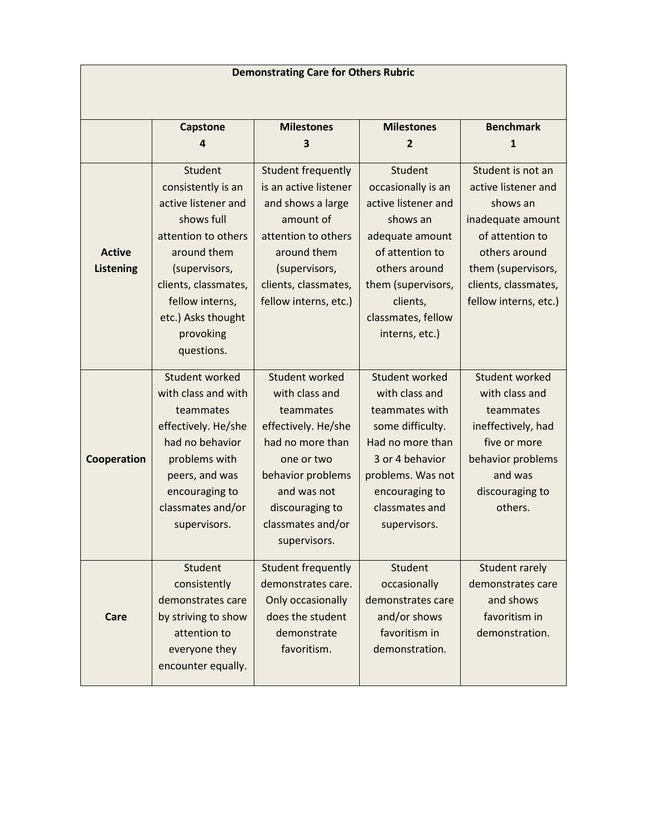| <b>Demonstrating Care for Others Rubric</b> |                                                                                                                                                                                                                       |                                                                                                                                                                                                    |                                                                                                                                                                                                   |                                                                                                                                                                                      |  |
|---------------------------------------------|-----------------------------------------------------------------------------------------------------------------------------------------------------------------------------------------------------------------------|----------------------------------------------------------------------------------------------------------------------------------------------------------------------------------------------------|---------------------------------------------------------------------------------------------------------------------------------------------------------------------------------------------------|--------------------------------------------------------------------------------------------------------------------------------------------------------------------------------------|--|
|                                             | <b>Capstone</b><br>Δ                                                                                                                                                                                                  | <b>Milestones</b><br>3                                                                                                                                                                             | <b>Milestones</b><br>$\overline{2}$                                                                                                                                                               | <b>Benchmark</b><br>$\mathbf{1}$                                                                                                                                                     |  |
| <b>Active</b><br><b>Listening</b>           | Student<br>consistently is an<br>active listener and<br>shows full<br>attention to others<br>around them<br>(supervisors,<br>clients, classmates,<br>fellow interns,<br>etc.) Asks thought<br>provoking<br>questions. | Student frequently<br>is an active listener<br>and shows a large<br>amount of<br>attention to others<br>around them<br>(supervisors,<br>clients, classmates,<br>fellow interns, etc.)              | Student<br>occasionally is an<br>active listener and<br>shows an<br>adequate amount<br>of attention to<br>others around<br>them (supervisors,<br>clients,<br>classmates, fellow<br>interns, etc.) | Student is not an<br>active listener and<br>shows an<br>inadequate amount<br>of attention to<br>others around<br>them (supervisors,<br>clients, classmates,<br>fellow interns, etc.) |  |
| Cooperation                                 | Student worked<br>with class and with<br>teammates<br>effectively. He/she<br>had no behavior<br>problems with<br>peers, and was<br>encouraging to<br>classmates and/or<br>supervisors.                                | Student worked<br>with class and<br>teammates<br>effectively. He/she<br>had no more than<br>one or two<br>behavior problems<br>and was not<br>discouraging to<br>classmates and/or<br>supervisors. | Student worked<br>with class and<br>teammates with<br>some difficulty.<br>Had no more than<br>3 or 4 behavior<br>problems. Was not<br>encouraging to<br>classmates and<br>supervisors.            | Student worked<br>with class and<br>teammates<br>ineffectively, had<br>five or more<br>behavior problems<br>and was<br>discouraging to<br>others.                                    |  |
| Care                                        | Student<br>consistently<br>demonstrates care<br>by striving to show<br>attention to<br>everyone they<br>encounter equally.                                                                                            | <b>Student frequently</b><br>demonstrates care.<br>Only occasionally<br>does the student<br>demonstrate<br>favoritism.                                                                             | Student<br>occasionally<br>demonstrates care<br>and/or shows<br>favoritism in<br>demonstration.                                                                                                   | Student rarely<br>demonstrates care<br>and shows<br>favoritism in<br>demonstration.                                                                                                  |  |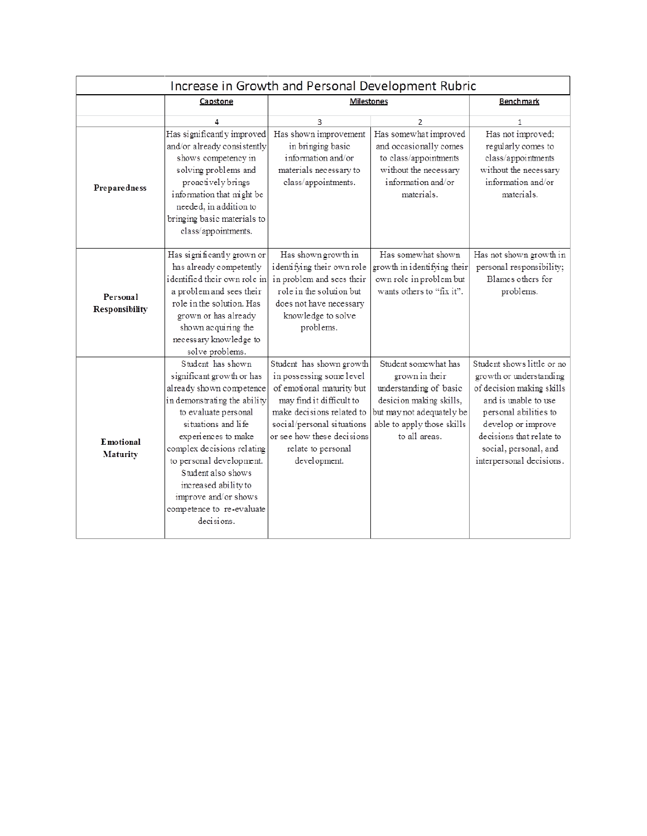| Increase in Growth and Personal Development Rubric |                                                                                                                                                                                                                                                                                                                                                             |                                                                                                                                                                                                                                              |                                                                                                                                                                         |                                                                                                                                                                                                                                            |  |
|----------------------------------------------------|-------------------------------------------------------------------------------------------------------------------------------------------------------------------------------------------------------------------------------------------------------------------------------------------------------------------------------------------------------------|----------------------------------------------------------------------------------------------------------------------------------------------------------------------------------------------------------------------------------------------|-------------------------------------------------------------------------------------------------------------------------------------------------------------------------|--------------------------------------------------------------------------------------------------------------------------------------------------------------------------------------------------------------------------------------------|--|
|                                                    | Capstone                                                                                                                                                                                                                                                                                                                                                    | <b>Milestones</b>                                                                                                                                                                                                                            |                                                                                                                                                                         | <b>Benchmark</b>                                                                                                                                                                                                                           |  |
|                                                    |                                                                                                                                                                                                                                                                                                                                                             | 3                                                                                                                                                                                                                                            | $\overline{2}$                                                                                                                                                          | 1                                                                                                                                                                                                                                          |  |
| Preparedness                                       | Has significantly improved<br>and/or already consistently<br>shows competency in<br>solving problems and<br>proactively brings<br>information that might be<br>needed, in addition to<br>bringing basic materials to<br>class/appointments.                                                                                                                 | Has shown improvement<br>in bringing basic<br>information and/or<br>materials necessary to<br>class/appointments.                                                                                                                            | Has somewhat improved<br>and occasionally comes<br>to class/appointments<br>without the necessary<br>information and/or<br>materials.                                   | Has not improved;<br>regularly comes to<br>class/appointments<br>without the necessary<br>information and/or<br>materials.                                                                                                                 |  |
| Personal<br>Responsibility                         | Has significantly grown or<br>has already competently<br>identified their own role in<br>a problem and sees their<br>role in the solution. Has<br>grown or has already<br>shown acquiring the<br>necessary knowledge to<br>solve problems.                                                                                                                  | Has shown growth in<br>identifying their own role<br>in problem and sees their<br>role in the solution but<br>does not have necessary<br>knowledge to solve<br>problems.                                                                     | Has somewhat shown<br>growth in identifying their<br>own role in problem but<br>wants others to "fix it".                                                               | Has not shown growth in<br>personal responsibility;<br>Blames others for<br>problems.                                                                                                                                                      |  |
| Emotional<br><b>Maturity</b>                       | Student has shown<br>significant growth or has<br>already shown competence<br>in demonstrating the ability<br>to evaluate personal<br>situations and life<br>experiences to make<br>complex decisions relating<br>to personal development.<br>Student also shows<br>increased ability to<br>improve and/or shows<br>competence to re-evaluate<br>decisions. | Student has shown growth<br>in possessing some level<br>of emotional maturity but<br>may find it difficult to<br>make decisions related to<br>social/personal situations<br>or see how these decisions<br>relate to personal<br>development. | Student somewhat has<br>grown in their<br>understanding of basic<br>desicion making skills,<br>but may not adequately be<br>able to apply those skills<br>to all areas. | Student shows little or no<br>growth or understanding<br>of decision making skills<br>and is unable to use<br>personal abilities to<br>develop or improve<br>decisions that relate to<br>social, personal, and<br>interpersonal decisions. |  |